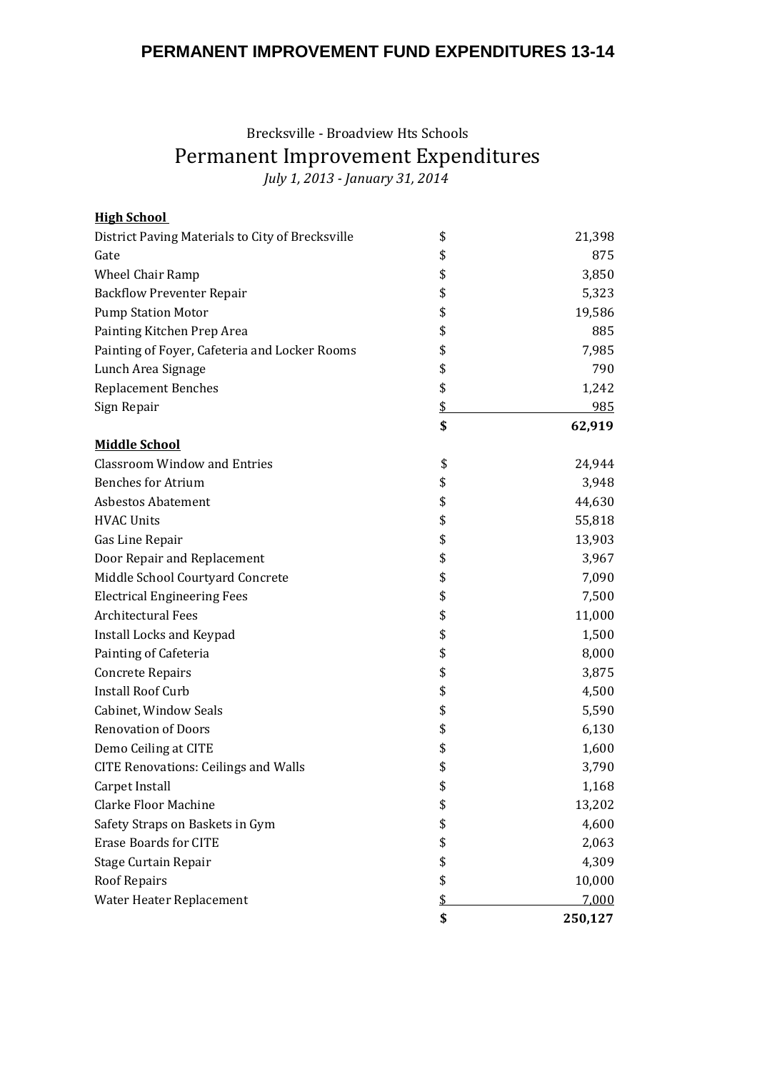## **PERMANENT IMPROVEMENT FUND EXPENDITURES 13-14**

## Brecksville - Broadview Hts Schools Permanent Improvement Expenditures *July 1, 2013 - January 31, 2014*

| <b>High School</b>                               |               |
|--------------------------------------------------|---------------|
| District Paving Materials to City of Brecksville | \$<br>21,398  |
| Gate                                             | \$<br>875     |
| <b>Wheel Chair Ramp</b>                          | \$<br>3,850   |
| <b>Backflow Preventer Repair</b>                 | \$<br>5,323   |
| <b>Pump Station Motor</b>                        | \$<br>19,586  |
| Painting Kitchen Prep Area                       | \$<br>885     |
| Painting of Foyer, Cafeteria and Locker Rooms    | \$<br>7,985   |
| Lunch Area Signage                               | \$<br>790     |
| <b>Replacement Benches</b>                       | \$<br>1,242   |
| Sign Repair                                      | \$<br>985     |
|                                                  | \$<br>62,919  |
| <b>Middle School</b>                             |               |
| <b>Classroom Window and Entries</b>              | \$<br>24,944  |
| <b>Benches for Atrium</b>                        | \$<br>3,948   |
| <b>Asbestos Abatement</b>                        | \$<br>44,630  |
| <b>HVAC Units</b>                                | \$<br>55,818  |
| Gas Line Repair                                  | \$<br>13,903  |
| Door Repair and Replacement                      | \$<br>3,967   |
| Middle School Courtyard Concrete                 | \$<br>7,090   |
| <b>Electrical Engineering Fees</b>               | \$<br>7,500   |
| <b>Architectural Fees</b>                        | \$<br>11,000  |
| Install Locks and Keypad                         | \$<br>1,500   |
| Painting of Cafeteria                            | \$<br>8,000   |
| <b>Concrete Repairs</b>                          | \$<br>3,875   |
| <b>Install Roof Curb</b>                         | \$<br>4,500   |
| Cabinet, Window Seals                            | \$<br>5,590   |
| <b>Renovation of Doors</b>                       | \$<br>6,130   |
| Demo Ceiling at CITE                             | \$<br>1,600   |
| <b>CITE Renovations: Ceilings and Walls</b>      | \$<br>3,790   |
| Carpet Install                                   | \$<br>1,168   |
| <b>Clarke Floor Machine</b>                      | \$<br>13,202  |
| Safety Straps on Baskets in Gym                  | \$<br>4,600   |
| <b>Erase Boards for CITE</b>                     | \$<br>2,063   |
| Stage Curtain Repair                             | \$<br>4,309   |
| <b>Roof Repairs</b>                              | \$<br>10,000  |
| Water Heater Replacement                         | \$<br>7,000   |
|                                                  | \$<br>250,127 |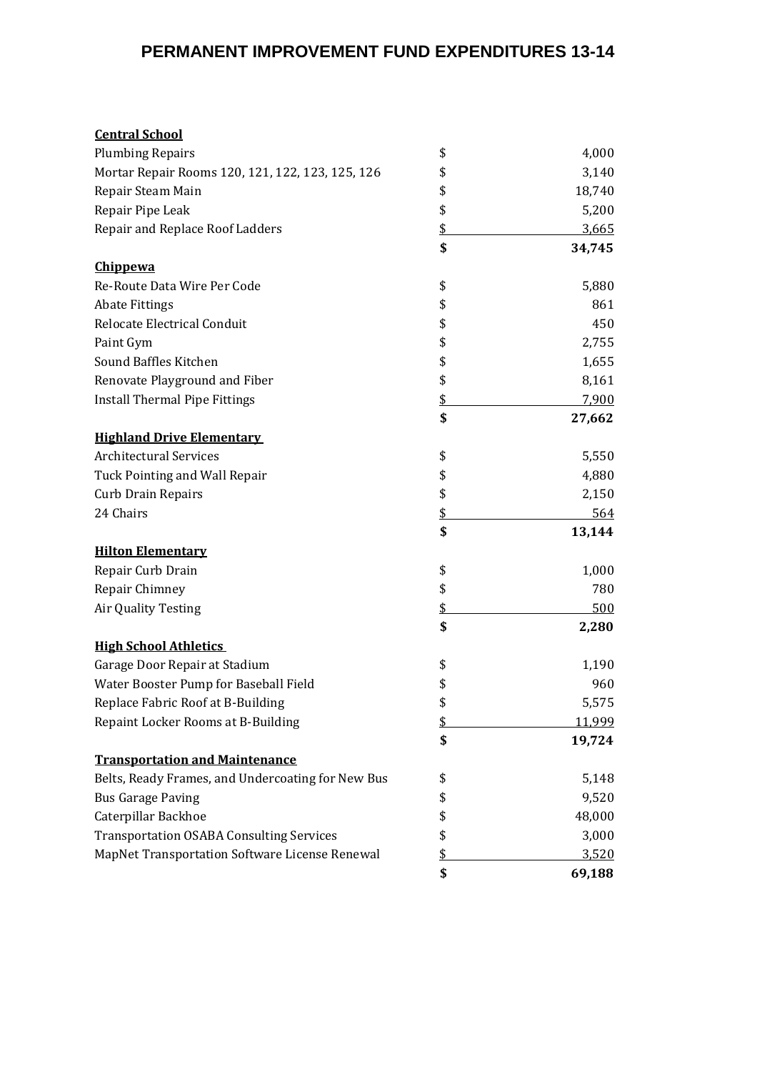# **PERMANENT IMPROVEMENT FUND EXPENDITURES 13-14**

| <b>Central School</b>                             |              |
|---------------------------------------------------|--------------|
| <b>Plumbing Repairs</b>                           | \$<br>4,000  |
| Mortar Repair Rooms 120, 121, 122, 123, 125, 126  | \$<br>3,140  |
| Repair Steam Main                                 | \$<br>18,740 |
| Repair Pipe Leak                                  | \$<br>5,200  |
| Repair and Replace Roof Ladders                   | \$<br>3,665  |
|                                                   | \$<br>34,745 |
| <b>Chippewa</b>                                   |              |
| Re-Route Data Wire Per Code                       | \$<br>5,880  |
| <b>Abate Fittings</b>                             | \$<br>861    |
| Relocate Electrical Conduit                       | \$<br>450    |
| Paint Gym                                         | \$<br>2,755  |
| Sound Baffles Kitchen                             | \$<br>1,655  |
| Renovate Playground and Fiber                     | \$<br>8,161  |
| <b>Install Thermal Pipe Fittings</b>              | \$<br>7,900  |
|                                                   | \$<br>27,662 |
| <b>Highland Drive Elementary</b>                  |              |
| <b>Architectural Services</b>                     | \$<br>5,550  |
| Tuck Pointing and Wall Repair                     | \$<br>4,880  |
| <b>Curb Drain Repairs</b>                         | \$<br>2,150  |
| 24 Chairs                                         | \$<br>564    |
|                                                   | \$<br>13,144 |
| <b>Hilton Elementary</b>                          |              |
| Repair Curb Drain                                 | \$<br>1,000  |
| Repair Chimney                                    | \$<br>780    |
| Air Quality Testing                               | \$<br>500    |
|                                                   | \$<br>2,280  |
| <b>High School Athletics</b>                      |              |
| Garage Door Repair at Stadium                     | \$<br>1,190  |
| Water Booster Pump for Baseball Field             | \$<br>960    |
| Replace Fabric Roof at B-Building                 | \$<br>5,575  |
| Repaint Locker Rooms at B-Building                | \$<br>11,999 |
|                                                   | \$<br>19,724 |
| <b>Transportation and Maintenance</b>             |              |
| Belts, Ready Frames, and Undercoating for New Bus | \$<br>5,148  |
| <b>Bus Garage Paving</b>                          | \$<br>9,520  |
| Caterpillar Backhoe                               | \$<br>48,000 |
| <b>Transportation OSABA Consulting Services</b>   | \$<br>3,000  |
| MapNet Transportation Software License Renewal    | \$<br>3,520  |
|                                                   | \$<br>69,188 |